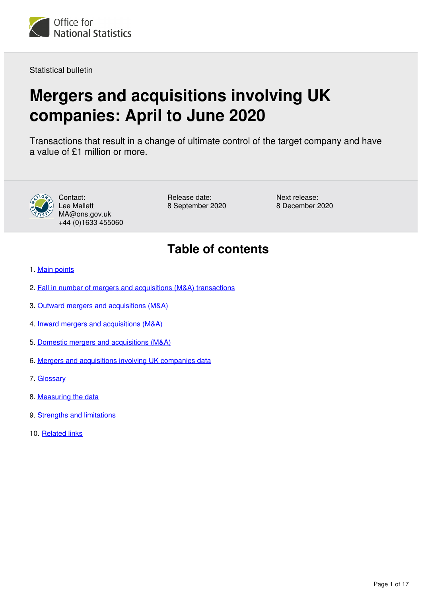

Statistical bulletin

# **Mergers and acquisitions involving UK companies: April to June 2020**

Transactions that result in a change of ultimate control of the target company and have a value of £1 million or more.



Contact: Lee Mallett MA@ons.gov.uk +44 (0)1633 455060 Release date: 8 September 2020 Next release: 8 December 2020

# **Table of contents**

- 1. [Main points](#page-1-0)
- 2. [Fall in number of mergers and acquisitions \(M&A\) transactions](#page-1-1)
- 3. [Outward mergers and acquisitions \(M&A\)](#page-3-0)
- 4. [Inward mergers and acquisitions \(M&A\)](#page-6-0)
- 5. [Domestic mergers and acquisitions \(M&A\)](#page-9-0)
- 6. [Mergers and acquisitions involving UK companies data](#page-12-0)
- 7. [Glossary](#page-12-1)
- 8. [Measuring the data](#page-14-0)
- 9. [Strengths and limitations](#page-15-0)
- 10. [Related links](#page-16-0)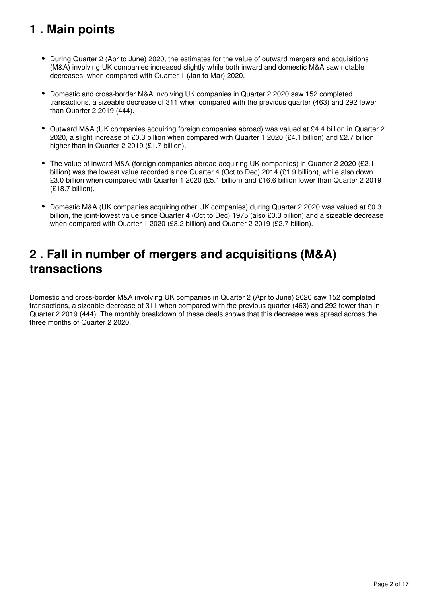# <span id="page-1-0"></span>**1 . Main points**

- During Quarter 2 (Apr to June) 2020, the estimates for the value of outward mergers and acquisitions (M&A) involving UK companies increased slightly while both inward and domestic M&A saw notable decreases, when compared with Quarter 1 (Jan to Mar) 2020.
- Domestic and cross-border M&A involving UK companies in Quarter 2 2020 saw 152 completed transactions, a sizeable decrease of 311 when compared with the previous quarter (463) and 292 fewer than Quarter 2 2019 (444).
- Outward M&A (UK companies acquiring foreign companies abroad) was valued at £4.4 billion in Quarter 2 2020, a slight increase of £0.3 billion when compared with Quarter 1 2020 (£4.1 billion) and £2.7 billion higher than in Quarter 2 2019 (£1.7 billion).
- The value of inward M&A (foreign companies abroad acquiring UK companies) in Quarter 2 2020 (£2.1 billion) was the lowest value recorded since Quarter 4 (Oct to Dec) 2014 (£1.9 billion), while also down £3.0 billion when compared with Quarter 1 2020 (£5.1 billion) and £16.6 billion lower than Quarter 2 2019 (£18.7 billion).
- Domestic M&A (UK companies acquiring other UK companies) during Quarter 2 2020 was valued at £0.3 billion, the joint-lowest value since Quarter 4 (Oct to Dec) 1975 (also £0.3 billion) and a sizeable decrease when compared with Quarter 1 2020 (£3.2 billion) and Quarter 2 2019 (£2.7 billion).

# <span id="page-1-1"></span>**2 . Fall in number of mergers and acquisitions (M&A) transactions**

Domestic and cross-border M&A involving UK companies in Quarter 2 (Apr to June) 2020 saw 152 completed transactions, a sizeable decrease of 311 when compared with the previous quarter (463) and 292 fewer than in Quarter 2 2019 (444). The monthly breakdown of these deals shows that this decrease was spread across the three months of Quarter 2 2020.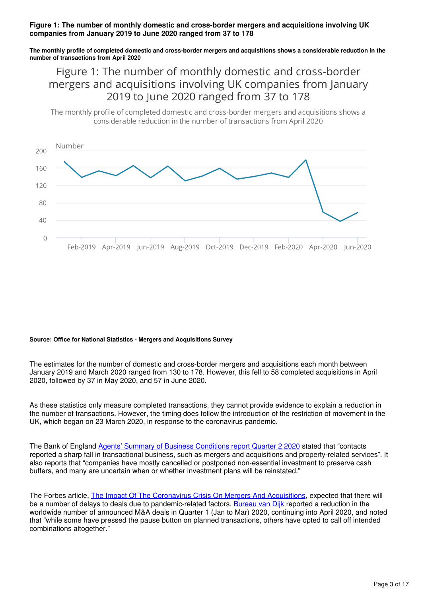### **Figure 1: The number of monthly domestic and cross-border mergers and acquisitions involving UK companies from January 2019 to June 2020 ranged from 37 to 178**

**The monthly profile of completed domestic and cross-border mergers and acquisitions shows a considerable reduction in the number of transactions from April 2020**

Figure 1: The number of monthly domestic and cross-border mergers and acquisitions involving UK companies from January 2019 to June 2020 ranged from 37 to 178

The monthly profile of completed domestic and cross-border mergers and acquisitions shows a considerable reduction in the number of transactions from April 2020



#### **Source: Office for National Statistics - Mergers and Acquisitions Survey**

The estimates for the number of domestic and cross-border mergers and acquisitions each month between January 2019 and March 2020 ranged from 130 to 178. However, this fell to 58 completed acquisitions in April 2020, followed by 37 in May 2020, and 57 in June 2020.

As these statistics only measure completed transactions, they cannot provide evidence to explain a reduction in the number of transactions. However, the timing does follow the introduction of the restriction of movement in the UK, which began on 23 March 2020, in response to the coronavirus pandemic.

The Bank of England [Agents' Summary of Business Conditions report Quarter 2 2020](https://www.bankofengland.co.uk/agents-summary/2020/2020-q2) stated that "contacts reported a sharp fall in transactional business, such as mergers and acquisitions and property-related services". It also reports that "companies have mostly cancelled or postponed non-essential investment to preserve cash buffers, and many are uncertain when or whether investment plans will be reinstated."

The Forbes article, [The Impact Of The Coronavirus Crisis On Mergers And Acquisitions](https://www.forbes.com/sites/allbusiness/2020/04/17/impact-of-coronavirus-crisis-on-mergers-and-acquisitions/#7e29663a200a), expected that there will be a number of delays to deals due to pandemic-related factors. [Bureau van Dijk](https://www.bvdinfo.com/en-gb/blog/corporate-finance-and-ma/covid-19-impacts-ma-dealmaking) reported a reduction in the worldwide number of announced M&A deals in Quarter 1 (Jan to Mar) 2020, continuing into April 2020, and noted that "while some have pressed the pause button on planned transactions, others have opted to call off intended combinations altogether."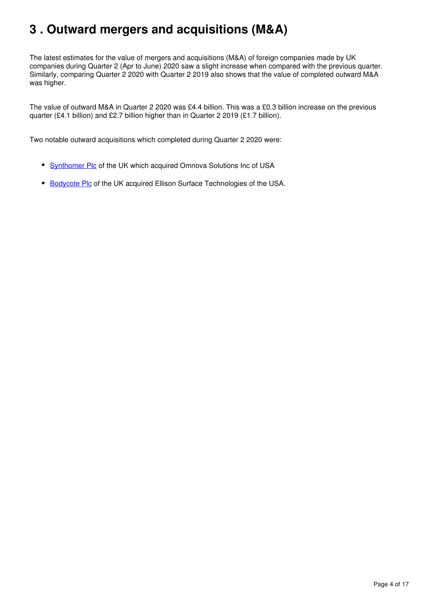# <span id="page-3-0"></span>**3 . Outward mergers and acquisitions (M&A)**

The latest estimates for the value of mergers and acquisitions (M&A) of foreign companies made by UK companies during Quarter 2 (Apr to June) 2020 saw a slight increase when compared with the previous quarter. Similarly, comparing Quarter 2 2020 with Quarter 2 2019 also shows that the value of completed outward M&A was higher.

The value of outward M&A in Quarter 2 2020 was £4.4 billion. This was a £0.3 billion increase on the previous quarter (£4.1 billion) and £2.7 billion higher than in Quarter 2 2019 (£1.7 billion).

Two notable outward acquisitions which completed during Quarter 2 2020 were:

- [Synthomer Plc](https://www.investegate.co.uk/synthomer-plc--synt-/rns/completion-of-omnova-acquisition/202004011444094515I/) of the UK which acquired Omnova Solutions Inc of USA
- [Bodycote Plc](https://www.bodycote.com/press-releases/press-release-2020/bodycote-completes-acquisition-of-ellison-surface-technologies/) of the UK acquired Ellison Surface Technologies of the USA.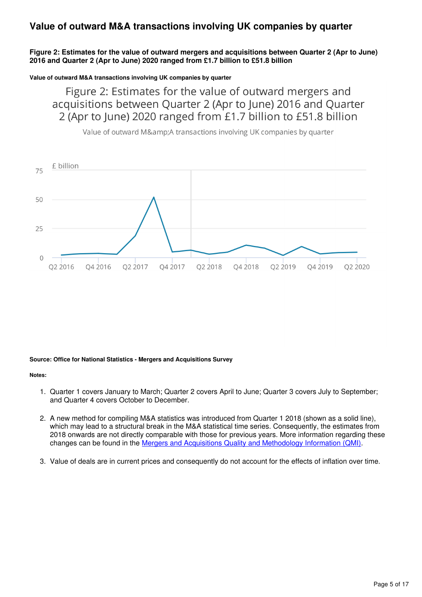# **Value of outward M&A transactions involving UK companies by quarter**

### **Figure 2: Estimates for the value of outward mergers and acquisitions between Quarter 2 (Apr to June) 2016 and Quarter 2 (Apr to June) 2020 ranged from £1.7 billion to £51.8 billion**

**Value of outward M&A transactions involving UK companies by quarter**

Figure 2: Estimates for the value of outward mergers and acquisitions between Quarter 2 (Apr to June) 2016 and Quarter 2 (Apr to June) 2020 ranged from £1.7 billion to £51.8 billion



Value of outward M&A transactions involving UK companies by quarter

### **Source: Office for National Statistics - Mergers and Acquisitions Survey**

#### **Notes:**

- 1. Quarter 1 covers January to March; Quarter 2 covers April to June; Quarter 3 covers July to September; and Quarter 4 covers October to December.
- 2. A new method for compiling M&A statistics was introduced from Quarter 1 2018 (shown as a solid line), which may lead to a structural break in the M&A statistical time series. Consequently, the estimates from 2018 onwards are not directly comparable with those for previous years. More information regarding these changes can be found in the [Mergers and Acquisitions Quality and Methodology Information \(QMI\).](https://www.ons.gov.uk/businessindustryandtrade/changestobusiness/mergersandacquisitions/methodologies/mergersandacquisitionsmaqmi)
- 3. Value of deals are in current prices and consequently do not account for the effects of inflation over time.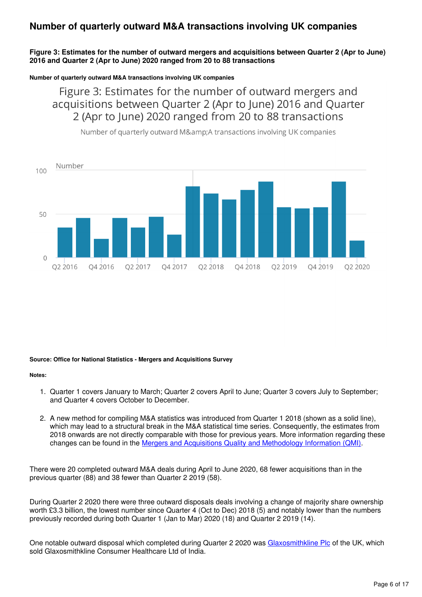# **Number of quarterly outward M&A transactions involving UK companies**

### **Figure 3: Estimates for the number of outward mergers and acquisitions between Quarter 2 (Apr to June) 2016 and Quarter 2 (Apr to June) 2020 ranged from 20 to 88 transactions**

### **Number of quarterly outward M&A transactions involving UK companies**

Figure 3: Estimates for the number of outward mergers and acquisitions between Quarter 2 (Apr to June) 2016 and Quarter 2 (Apr to June) 2020 ranged from 20 to 88 transactions



Number of quarterly outward M&A transactions involving UK companies

### **Source: Office for National Statistics - Mergers and Acquisitions Survey**

#### **Notes:**

- 1. Quarter 1 covers January to March; Quarter 2 covers April to June; Quarter 3 covers July to September; and Quarter 4 covers October to December.
- 2. A new method for compiling M&A statistics was introduced from Quarter 1 2018 (shown as a solid line), which may lead to a structural break in the M&A statistical time series. Consequently, the estimates from 2018 onwards are not directly comparable with those for previous years. More information regarding these changes can be found in the [Mergers and Acquisitions Quality and Methodology Information \(QMI\).](https://www.ons.gov.uk/businessindustryandtrade/changestobusiness/mergersandacquisitions/methodologies/mergersandacquisitionsmaqmi)

There were 20 completed outward M&A deals during April to June 2020, 68 fewer acquisitions than in the previous quarter (88) and 38 fewer than Quarter 2 2019 (58).

During Quarter 2 2020 there were three outward disposals deals involving a change of majority share ownership worth £3.3 billion, the lowest number since Quarter 4 (Oct to Dec) 2018 (5) and notably lower than the numbers previously recorded during both Quarter 1 (Jan to Mar) 2020 (18) and Quarter 2 2019 (14).

One notable outward disposal which completed during Quarter 2 2020 was [Glaxosmithkline Plc](https://www.gsk.com/en-gb/media/press-releases/gsk-completes-divestment-of-horlicks-and-other-consumer-healthcare-nutrition-products-in-india-and-certain-other-markets/) of the UK, which sold Glaxosmithkline Consumer Healthcare Ltd of India.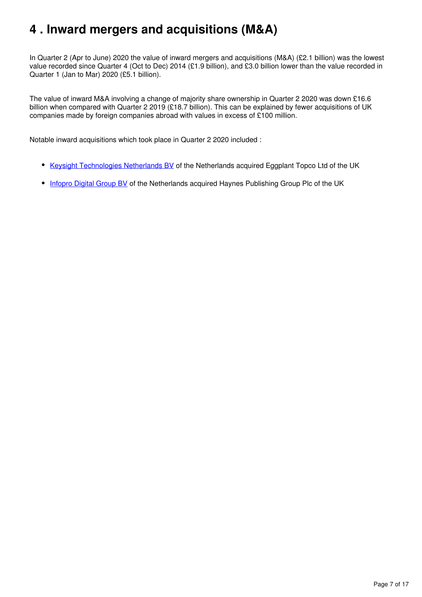# <span id="page-6-0"></span>**4 . Inward mergers and acquisitions (M&A)**

In Quarter 2 (Apr to June) 2020 the value of inward mergers and acquisitions (M&A) (£2.1 billion) was the lowest value recorded since Quarter 4 (Oct to Dec) 2014 (£1.9 billion), and £3.0 billion lower than the value recorded in Quarter 1 (Jan to Mar) 2020 (£5.1 billion).

The value of inward M&A involving a change of majority share ownership in Quarter 2 2020 was down £16.6 billion when compared with Quarter 2 2019 (£18.7 billion). This can be explained by fewer acquisitions of UK companies made by foreign companies abroad with values in excess of £100 million.

Notable inward acquisitions which took place in Quarter 2 2020 included :

- [Keysight Technologies Netherlands BV](https://www.keysight.com/gb/en/about/newsroom/news-releases/2020/keysight-technologies-acquires-eggplant-.html) of the Netherlands acquired Eggplant Topco Ltd of the UK
- [Infopro Digital Group BV](https://www.investegate.co.uk/infopro-digital/rns/recommended-cash-offer-for-haynes-publishing-group/202002131006189055C/) of the Netherlands acquired Haynes Publishing Group Plc of the UK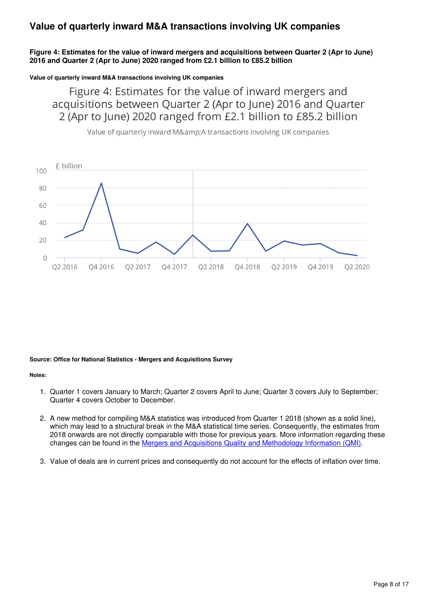# **Value of quarterly inward M&A transactions involving UK companies**

### **Figure 4: Estimates for the value of inward mergers and acquisitions between Quarter 2 (Apr to June) 2016 and Quarter 2 (Apr to June) 2020 ranged from £2.1 billion to £85.2 billion**

**Value of quarterly inward M&A transactions involving UK companies**

Figure 4: Estimates for the value of inward mergers and acquisitions between Quarter 2 (Apr to June) 2016 and Quarter 2 (Apr to June) 2020 ranged from £2.1 billion to £85.2 billion



Value of quarterly inward M&A transactions involving UK companies

### **Source: Office for National Statistics - Mergers and Acquisitions Survey**

#### **Notes:**

- 1. Quarter 1 covers January to March; Quarter 2 covers April to June; Quarter 3 covers July to September; Quarter 4 covers October to December.
- 2. A new method for compiling M&A statistics was introduced from Quarter 1 2018 (shown as a solid line), which may lead to a structural break in the M&A statistical time series. Consequently, the estimates from 2018 onwards are not directly comparable with those for previous years. More information regarding these changes can be found in the [Mergers and Acquisitions Quality and Methodology Information \(QMI\).](https://www.ons.gov.uk/businessindustryandtrade/changestobusiness/mergersandacquisitions/methodologies/mergersandacquisitionsmaqmi)
- 3. Value of deals are in current prices and consequently do not account for the effects of inflation over time.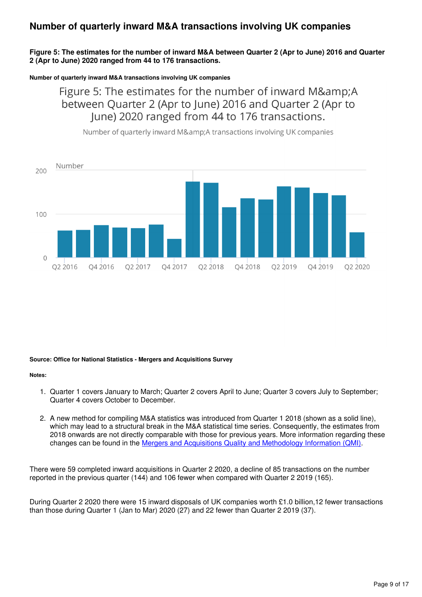# **Number of quarterly inward M&A transactions involving UK companies**

### **Figure 5: The estimates for the number of inward M&A between Quarter 2 (Apr to June) 2016 and Quarter 2 (Apr to June) 2020 ranged from 44 to 176 transactions.**

### **Number of quarterly inward M&A transactions involving UK companies**

Figure 5: The estimates for the number of inward M&A between Quarter 2 (Apr to June) 2016 and Quarter 2 (Apr to June) 2020 ranged from 44 to 176 transactions.



Number of quarterly inward M&A transactions involving UK companies

### **Source: Office for National Statistics - Mergers and Acquisitions Survey**

### **Notes:**

- 1. Quarter 1 covers January to March; Quarter 2 covers April to June; Quarter 3 covers July to September; Quarter 4 covers October to December.
- 2. A new method for compiling M&A statistics was introduced from Quarter 1 2018 (shown as a solid line), which may lead to a structural break in the M&A statistical time series. Consequently, the estimates from 2018 onwards are not directly comparable with those for previous years. More information regarding these changes can be found in the [Mergers and Acquisitions Quality and Methodology Information \(QMI\).](https://www.ons.gov.uk/businessindustryandtrade/changestobusiness/mergersandacquisitions/methodologies/mergersandacquisitionsmaqmi)

There were 59 completed inward acquisitions in Quarter 2 2020, a decline of 85 transactions on the number reported in the previous quarter (144) and 106 fewer when compared with Quarter 2 2019 (165).

During Quarter 2 2020 there were 15 inward disposals of UK companies worth £1.0 billion,12 fewer transactions than those during Quarter 1 (Jan to Mar) 2020 (27) and 22 fewer than Quarter 2 2019 (37).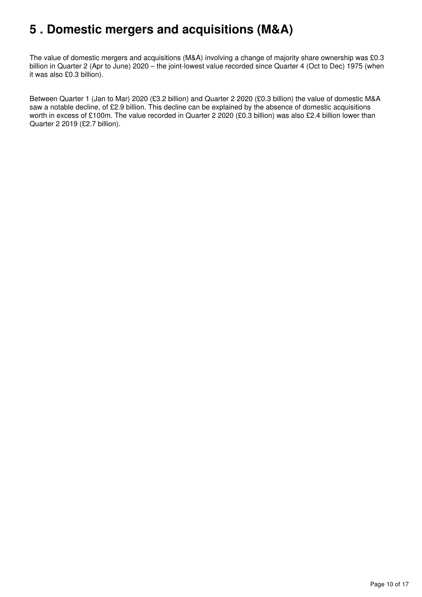# <span id="page-9-0"></span>**5 . Domestic mergers and acquisitions (M&A)**

The value of domestic mergers and acquisitions (M&A) involving a change of majority share ownership was £0.3 billion in Quarter 2 (Apr to June) 2020 – the joint-lowest value recorded since Quarter 4 (Oct to Dec) 1975 (when it was also £0.3 billion).

Between Quarter 1 (Jan to Mar) 2020 (£3.2 billion) and Quarter 2 2020 (£0.3 billion) the value of domestic M&A saw a notable decline, of £2.9 billion. This decline can be explained by the absence of domestic acquisitions worth in excess of £100m. The value recorded in Quarter 2 2020 (£0.3 billion) was also £2.4 billion lower than Quarter 2 2019 (£2.7 billion).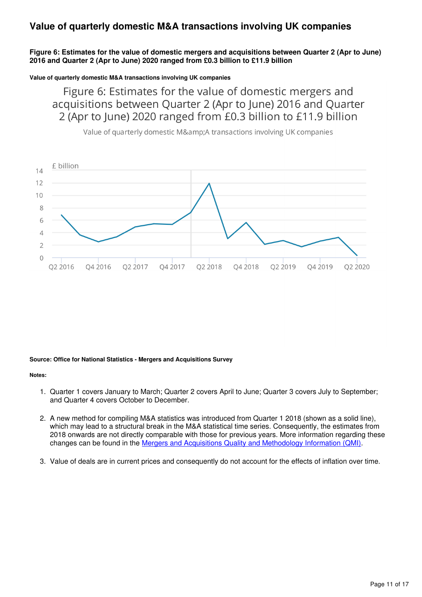# **Value of quarterly domestic M&A transactions involving UK companies**

### **Figure 6: Estimates for the value of domestic mergers and acquisitions between Quarter 2 (Apr to June) 2016 and Quarter 2 (Apr to June) 2020 ranged from £0.3 billion to £11.9 billion**

**Value of quarterly domestic M&A transactions involving UK companies**

Figure 6: Estimates for the value of domestic mergers and acquisitions between Quarter 2 (Apr to June) 2016 and Quarter 2 (Apr to June) 2020 ranged from £0.3 billion to £11.9 billion



Value of quarterly domestic M&A transactions involving UK companies

### **Source: Office for National Statistics - Mergers and Acquisitions Survey**

### **Notes:**

- 1. Quarter 1 covers January to March; Quarter 2 covers April to June; Quarter 3 covers July to September; and Quarter 4 covers October to December.
- 2. A new method for compiling M&A statistics was introduced from Quarter 1 2018 (shown as a solid line), which may lead to a structural break in the M&A statistical time series. Consequently, the estimates from 2018 onwards are not directly comparable with those for previous years. More information regarding these changes can be found in the [Mergers and Acquisitions Quality and Methodology Information \(QMI\).](https://www.ons.gov.uk/businessindustryandtrade/changestobusiness/mergersandacquisitions/methodologies/mergersandacquisitionsmaqmi)
- 3. Value of deals are in current prices and consequently do not account for the effects of inflation over time.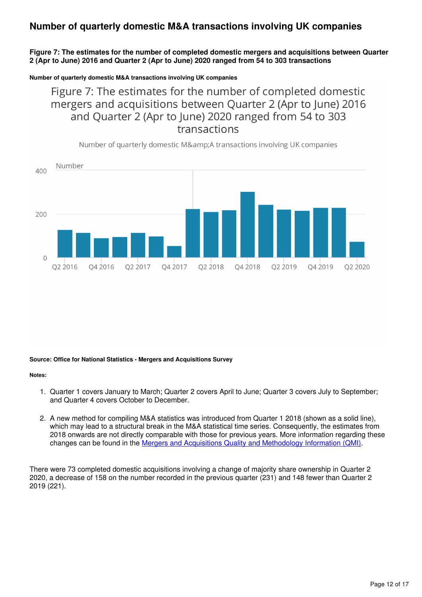# **Number of quarterly domestic M&A transactions involving UK companies**

**Figure 7: The estimates for the number of completed domestic mergers and acquisitions between Quarter 2 (Apr to June) 2016 and Quarter 2 (Apr to June) 2020 ranged from 54 to 303 transactions**

**Number of quarterly domestic M&A transactions involving UK companies**

Figure 7: The estimates for the number of completed domestic mergers and acquisitions between Quarter 2 (Apr to June) 2016 and Quarter 2 (Apr to June) 2020 ranged from 54 to 303 transactions

Number of quarterly domestic M&A transactions involving UK companies



#### **Source: Office for National Statistics - Mergers and Acquisitions Survey**

#### **Notes:**

- 1. Quarter 1 covers January to March; Quarter 2 covers April to June; Quarter 3 covers July to September; and Quarter 4 covers October to December.
- 2. A new method for compiling M&A statistics was introduced from Quarter 1 2018 (shown as a solid line), which may lead to a structural break in the M&A statistical time series. Consequently, the estimates from 2018 onwards are not directly comparable with those for previous years. More information regarding these changes can be found in the [Mergers and Acquisitions Quality and Methodology Information \(QMI\).](https://www.ons.gov.uk/businessindustryandtrade/changestobusiness/mergersandacquisitions/methodologies/mergersandacquisitionsmaqmi)

There were 73 completed domestic acquisitions involving a change of majority share ownership in Quarter 2 2020, a decrease of 158 on the number recorded in the previous quarter (231) and 148 fewer than Quarter 2 2019 (221).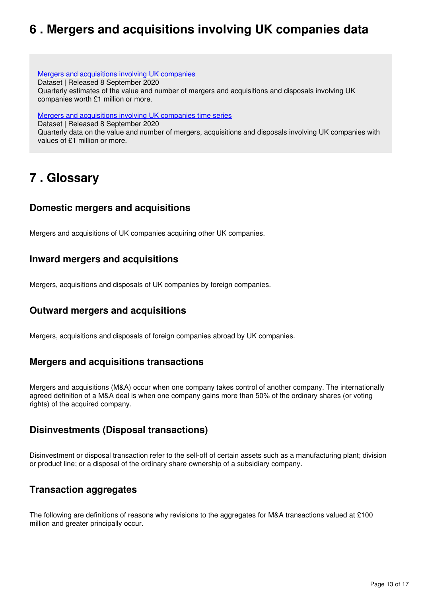# <span id="page-12-0"></span>**6 . Mergers and acquisitions involving UK companies data**

[Mergers and acquisitions involving UK companies](https://www.ons.gov.uk/businessindustryandtrade/changestobusiness/mergersandacquisitions/datasets/mergersandacquisitionsinvolvingukcompanies) Dataset | Released 8 September 2020 Quarterly estimates of the value and number of mergers and acquisitions and disposals involving UK companies worth £1 million or more.

[Mergers and acquisitions involving UK companies time series](https://www.ons.gov.uk/businessindustryandtrade/changestobusiness/mergersandacquisitions/datasets/mergersandacquisitionsuk)

Dataset | Released 8 September 2020

Quarterly data on the value and number of mergers, acquisitions and disposals involving UK companies with values of £1 million or more.

# <span id="page-12-1"></span>**7 . Glossary**

### **Domestic mergers and acquisitions**

Mergers and acquisitions of UK companies acquiring other UK companies.

### **Inward mergers and acquisitions**

Mergers, acquisitions and disposals of UK companies by foreign companies.

### **Outward mergers and acquisitions**

Mergers, acquisitions and disposals of foreign companies abroad by UK companies.

### **Mergers and acquisitions transactions**

Mergers and acquisitions (M&A) occur when one company takes control of another company. The internationally agreed definition of a M&A deal is when one company gains more than 50% of the ordinary shares (or voting rights) of the acquired company.

### **Disinvestments (Disposal transactions)**

Disinvestment or disposal transaction refer to the sell-off of certain assets such as a manufacturing plant; division or product line; or a disposal of the ordinary share ownership of a subsidiary company.

### **Transaction aggregates**

The following are definitions of reasons why revisions to the aggregates for M&A transactions valued at £100 million and greater principally occur.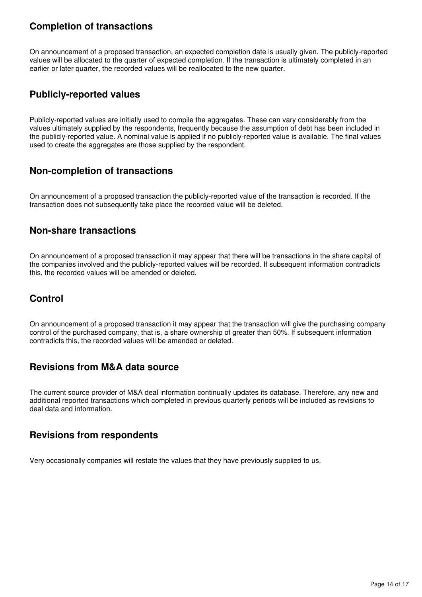### **Completion of transactions**

On announcement of a proposed transaction, an expected completion date is usually given. The publicly-reported values will be allocated to the quarter of expected completion. If the transaction is ultimately completed in an earlier or later quarter, the recorded values will be reallocated to the new quarter.

# **Publicly-reported values**

Publicly-reported values are initially used to compile the aggregates. These can vary considerably from the values ultimately supplied by the respondents, frequently because the assumption of debt has been included in the publicly-reported value. A nominal value is applied if no publicly-reported value is available. The final values used to create the aggregates are those supplied by the respondent.

# **Non-completion of transactions**

On announcement of a proposed transaction the publicly-reported value of the transaction is recorded. If the transaction does not subsequently take place the recorded value will be deleted.

### **Non-share transactions**

On announcement of a proposed transaction it may appear that there will be transactions in the share capital of the companies involved and the publicly-reported values will be recorded. If subsequent information contradicts this, the recorded values will be amended or deleted.

# **Control**

On announcement of a proposed transaction it may appear that the transaction will give the purchasing company control of the purchased company, that is, a share ownership of greater than 50%. If subsequent information contradicts this, the recorded values will be amended or deleted.

### **Revisions from M&A data source**

The current source provider of M&A deal information continually updates its database. Therefore, any new and additional reported transactions which completed in previous quarterly periods will be included as revisions to deal data and information.

### **Revisions from respondents**

Very occasionally companies will restate the values that they have previously supplied to us.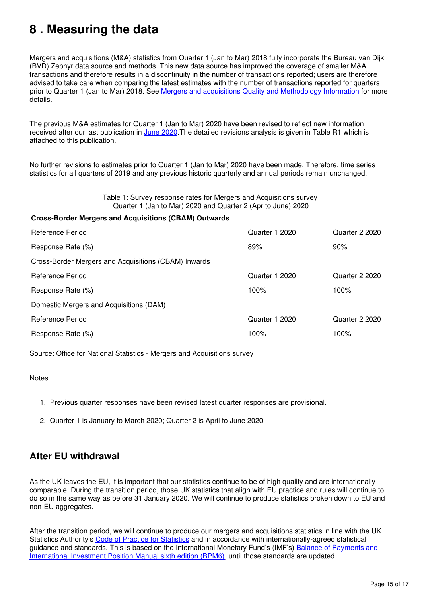# <span id="page-14-0"></span>**8 . Measuring the data**

Mergers and acquisitions (M&A) statistics from Quarter 1 (Jan to Mar) 2018 fully incorporate the Bureau van Dijk (BVD) Zephyr data source and methods. This new data source has improved the coverage of smaller M&A transactions and therefore results in a discontinuity in the number of transactions reported; users are therefore advised to take care when comparing the latest estimates with the number of transactions reported for quarters prior to Quarter 1 (Jan to Mar) 2018. See [Mergers and acquisitions Quality and Methodology Information](https://www.ons.gov.uk/businessindustryandtrade/changestobusiness/mergersandacquisitions/methodologies/mergersandacquisitionsmaqmi) for more details.

The previous M&A estimates for Quarter 1 (Jan to Mar) 2020 have been revised to reflect new information received after our last publication in [June 2020](https://www.ons.gov.uk/businessindustryandtrade/changestobusiness/mergersandacquisitions/bulletins/mergersandacquisitionsinvolvingukcompanies/januarytomarch2020). The detailed revisions analysis is given in Table R1 which is attached to this publication.

No further revisions to estimates prior to Quarter 1 (Jan to Mar) 2020 have been made. Therefore, time series statistics for all quarters of 2019 and any previous historic quarterly and annual periods remain unchanged.

> Table 1: Survey response rates for Mergers and Acquisitions survey Quarter 1 (Jan to Mar) 2020 and Quarter 2 (Apr to June) 2020

### **Cross-Border Mergers and Acquisitions (CBAM) Outwards**

| Quarter 1 2020 | Quarter 2 2020 |
|----------------|----------------|
| 89%            | 90%            |
|                |                |
| Quarter 1 2020 | Quarter 2 2020 |
| 100%           | 100%           |
|                |                |
| Quarter 1 2020 | Quarter 2 2020 |
| 100%           | 100%           |
|                |                |

Source: Office for National Statistics - Mergers and Acquisitions survey

### **Notes**

- 1. Previous quarter responses have been revised latest quarter responses are provisional.
- 2. Quarter 1 is January to March 2020; Quarter 2 is April to June 2020.

### **After EU withdrawal**

As the UK leaves the EU, it is important that our statistics continue to be of high quality and are internationally comparable. During the transition period, those UK statistics that align with EU practice and rules will continue to do so in the same way as before 31 January 2020. We will continue to produce statistics broken down to EU and non-EU aggregates.

After the transition period, we will continue to produce our mergers and acquisitions statistics in line with the UK Statistics Authority's [Code of Practice for Statistics](https://www.statisticsauthority.gov.uk/code-of-practice/) and in accordance with internationally-agreed statistical guidance and standards. This is based on the International Monetary Fund's (IMF's) [Balance of Payments and](https://www.imf.org/external/pubs/ft/bop/2007/bopman6.htm)  [International Investment Position Manual sixth edition \(BPM6\)](https://www.imf.org/external/pubs/ft/bop/2007/bopman6.htm), until those standards are updated.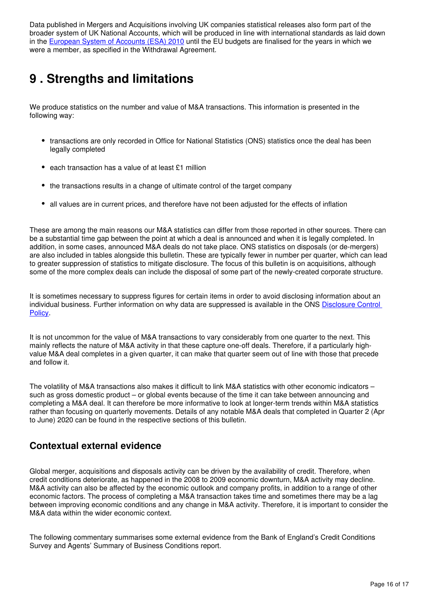Data published in Mergers and Acquisitions involving UK companies statistical releases also form part of the broader system of UK National Accounts, which will be produced in line with international standards as laid down in the [European System of Accounts \(ESA\) 2010](https://ec.europa.eu/eurostat/web/products-manuals-and-guidelines/-/KS-02-13-269) until the EU budgets are finalised for the years in which we were a member, as specified in the Withdrawal Agreement.

# <span id="page-15-0"></span>**9 . Strengths and limitations**

We produce statistics on the number and value of M&A transactions. This information is presented in the following way:

- transactions are only recorded in Office for National Statistics (ONS) statistics once the deal has been legally completed
- each transaction has a value of at least £1 million
- the transactions results in a change of ultimate control of the target company
- all values are in current prices, and therefore have not been adjusted for the effects of inflation

These are among the main reasons our M&A statistics can differ from those reported in other sources. There can be a substantial time gap between the point at which a deal is announced and when it is legally completed. In addition, in some cases, announced M&A deals do not take place. ONS statistics on disposals (or de-mergers) are also included in tables alongside this bulletin. These are typically fewer in number per quarter, which can lead to greater suppression of statistics to mitigate disclosure. The focus of this bulletin is on acquisitions, although some of the more complex deals can include the disposal of some part of the newly-created corporate structure.

It is sometimes necessary to suppress figures for certain items in order to avoid disclosing information about an individual business. Further information on why data are suppressed is available in the ONS [Disclosure Control](https://www.ons.gov.uk/methodology/methodologytopicsandstatisticalconcepts/disclosurecontrol)  [Policy.](https://www.ons.gov.uk/methodology/methodologytopicsandstatisticalconcepts/disclosurecontrol)

It is not uncommon for the value of M&A transactions to vary considerably from one quarter to the next. This mainly reflects the nature of M&A activity in that these capture one-off deals. Therefore, if a particularly highvalue M&A deal completes in a given quarter, it can make that quarter seem out of line with those that precede and follow it.

The volatility of M&A transactions also makes it difficult to link M&A statistics with other economic indicators – such as gross domestic product – or global events because of the time it can take between announcing and completing a M&A deal. It can therefore be more informative to look at longer-term trends within M&A statistics rather than focusing on quarterly movements. Details of any notable M&A deals that completed in Quarter 2 (Apr to June) 2020 can be found in the respective sections of this bulletin.

### **Contextual external evidence**

Global merger, acquisitions and disposals activity can be driven by the availability of credit. Therefore, when credit conditions deteriorate, as happened in the 2008 to 2009 economic downturn, M&A activity may decline. M&A activity can also be affected by the economic outlook and company profits, in addition to a range of other economic factors. The process of completing a M&A transaction takes time and sometimes there may be a lag between improving economic conditions and any change in M&A activity. Therefore, it is important to consider the M&A data within the wider economic context.

The following commentary summarises some external evidence from the Bank of England's Credit Conditions Survey and Agents' Summary of Business Conditions report.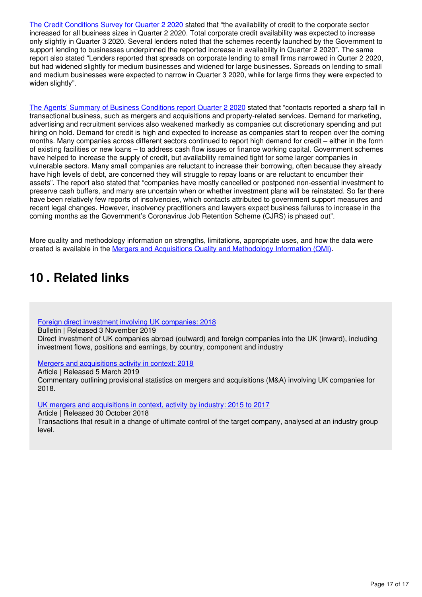[The Credit Conditions Survey for Quarter 2 2020](https://www.bankofengland.co.uk/credit-conditions-survey/2020/2020-q2) stated that "the availability of credit to the corporate sector increased for all business sizes in Quarter 2 2020. Total corporate credit availability was expected to increase only slightly in Quarter 3 2020. Several lenders noted that the schemes recently launched by the Government to support lending to businesses underpinned the reported increase in availability in Quarter 2 2020". The same report also stated "Lenders reported that spreads on corporate lending to small firms narrowed in Qurter 2 2020, but had widened slightly for medium businesses and widened for large businesses. Spreads on lending to small and medium businesses were expected to narrow in Quarter 3 2020, while for large firms they were expected to widen slightly".

[The Agents' Summary of Business Conditions report Quarter 2 2020](https://www.bankofengland.co.uk/agents-summary/2020/2020-q2) stated that "contacts reported a sharp fall in transactional business, such as mergers and acquisitions and property-related services. Demand for marketing, advertising and recruitment services also weakened markedly as companies cut discretionary spending and put hiring on hold. Demand for credit is high and expected to increase as companies start to reopen over the coming months. Many companies across different sectors continued to report high demand for credit – either in the form of existing facilities or new loans – to address cash flow issues or finance working capital. Government schemes have helped to increase the supply of credit, but availability remained tight for some larger companies in vulnerable sectors. Many small companies are reluctant to increase their borrowing, often because they already have high levels of debt, are concerned they will struggle to repay loans or are reluctant to encumber their assets". The report also stated that "companies have mostly cancelled or postponed non-essential investment to preserve cash buffers, and many are uncertain when or whether investment plans will be reinstated. So far there have been relatively few reports of insolvencies, which contacts attributed to government support measures and recent legal changes. However, insolvency practitioners and lawyers expect business failures to increase in the coming months as the Government's Coronavirus Job Retention Scheme (CJRS) is phased out".

More quality and methodology information on strengths, limitations, appropriate uses, and how the data were created is available in the [Mergers and Acquisitions Quality and Methodology Information \(QMI\).](https://www.ons.gov.uk/businessindustryandtrade/changestobusiness/mergersandacquisitions/methodologies/mergersandacquisitionsmaqmi)

# <span id="page-16-0"></span>**10 . Related links**

[Foreign direct investment involving UK companies: 2018](https://www.ons.gov.uk/economy/nationalaccounts/balanceofpayments/bulletins/foreigndirectinvestmentinvolvingukcompanies/2018)

Bulletin | Released 3 November 2019

Direct investment of UK companies abroad (outward) and foreign companies into the UK (inward), including investment flows, positions and earnings, by country, component and industry

[Mergers and acquisitions activity in context: 2018](https://www.ons.gov.uk/businessindustryandtrade/changestobusiness/mergersandacquisitions/articles/ukmergersandacquisitionsactivityincontext/2018)

Article | Released 5 March 2019

Commentary outlining provisional statistics on mergers and acquisitions (M&A) involving UK companies for 2018.

[UK mergers and acquisitions in context, activity by industry: 2015 to 2017](https://www.ons.gov.uk/businessindustryandtrade/changestobusiness/mergersandacquisitions/articles/ukmergersandacquisitionsincontextactivitybyindustry2015to2017/2018-10-30)

Article | Released 30 October 2018

Transactions that result in a change of ultimate control of the target company, analysed at an industry group level.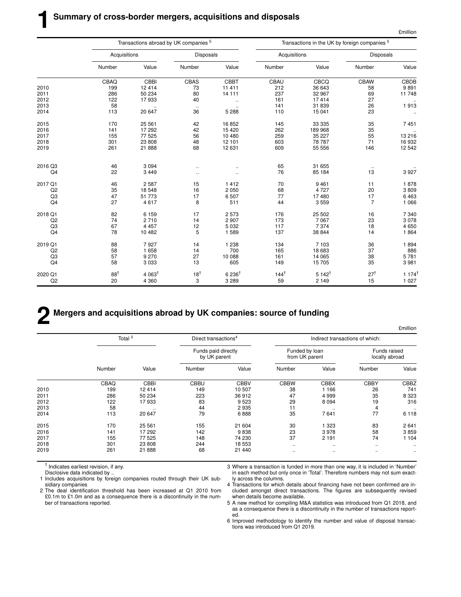|                |                |                  | Transactions abroad by UK companies 5 |                  | Transactions in the UK by foreign companies <sup>5</sup> |                  |                  |                     |  |
|----------------|----------------|------------------|---------------------------------------|------------------|----------------------------------------------------------|------------------|------------------|---------------------|--|
|                | Acquisitions   |                  | <b>Disposals</b>                      |                  | Acquisitions                                             |                  | <b>Disposals</b> |                     |  |
|                | Number         | Value            | Number                                | Value            | Number                                                   | Value            | Number           | Value               |  |
|                | CBAQ           | CBBI             | CBAS                                  | CBBT             | CBAU                                                     | CBCQ             | <b>CBAW</b>      | CBDB                |  |
| 2010           | 199            | 12 4 14          | 73                                    | 11 411           | 212                                                      | 36 643           | 58               | 9891                |  |
| 2011           | 286            | 50 234           | 80                                    | 14 111           | 237                                                      | 32 967           | 69               | 11748               |  |
| 2012           | 122            | 17933            | 40                                    | $\ddotsc$        | 161                                                      | 17414            | 27               | $\cdot$             |  |
| 2013           | 58             | $\ddotsc$        | $\ddot{\phantom{1}}$                  | $\ldots$         | 141                                                      | 31839            | 26               | 1913                |  |
| 2014           | 113            | 20 647           | 36                                    | 5 2 8 8          | 110                                                      | 15 041           | 23               | $\ddotsc$           |  |
| 2015           | 170            | 25 561           | 42                                    | 16852            | 145                                                      | 33 335           | 35               | 7451                |  |
| 2016           | 141            | 17 292           | 42                                    | 15 4 20          | 262                                                      | 189 968          | 35               | $\ddotsc$           |  |
| 2017           | 155            | 77 525           | 56                                    | 10 480           | 259                                                      | 35 227           | 55               | 13 216              |  |
| 2018           | 301            | 23 808           | 48                                    | 12 101           | 603                                                      | 78 787           | 71               | 16932               |  |
| 2019           | 261            | 21 888           | 68                                    | 12 631           | 609                                                      | 55 556           | 146              | 12 542              |  |
| 2016 Q3        |                | 3 0 9 4          |                                       |                  |                                                          | 31 655           |                  |                     |  |
|                | 46<br>22       |                  | $\ddotsc$                             | $\ddotsc$        | 65                                                       |                  | $\ddotsc$<br>13  |                     |  |
| Q4             |                | 3 4 4 9          | $\ddot{\phantom{0}}$                  | $\ldots$         | 76                                                       | 85 184           |                  | 3927                |  |
| 2017 Q1        | 46             | 2 5 8 7          | 15                                    | 1412             | 70                                                       | 9461             | 11               | 1878                |  |
| Q <sub>2</sub> | 35             | 18 548           | 16                                    | 2 0 5 0          | 68                                                       | 4727             | 20               | 3809                |  |
| Q <sub>3</sub> | 47             | 51 773           | 17                                    | 6 5 0 7          | 77                                                       | 17480            | 17               | 6463                |  |
| Q4             | 27             | 4617             | 8                                     | 511              | 44                                                       | 3559             | $\overline{7}$   | 1 0 6 6             |  |
| 2018 Q1        | 82             | 6 1 5 9          | 17                                    | 2573             | 176                                                      | 25 502           | 16               | 7 3 4 0             |  |
| Q2             | 74             | 2710             | 14                                    | 2 9 0 7          | 173                                                      | 7 0 6 7          | 23               | 3078                |  |
| Q <sub>3</sub> | 67             | 4 4 5 7          | 12                                    | 5 0 3 2          | 117                                                      | 7374             | 18               | 4 6 5 0             |  |
| Q4             | 78             | 10 482           | 5                                     | 1 589            | 137                                                      | 38 844           | 14               | 1864                |  |
| 2019 Q1        | 88             | 7927             | 14                                    | 1 2 3 8          | 134                                                      | 7 103            | 36               | 1894                |  |
| Q2             | 58             | 1 658            | 14                                    | 700              | 165                                                      | 18 683           | 37               | 886                 |  |
| Q <sub>3</sub> | 57             | 9 2 7 0          | 27                                    | 10 088           | 161                                                      | 14 065           | 38               | 5781                |  |
| Q4             | 58             | 3 0 3 3          | 13                                    | 605              | 149                                                      | 15 705           | 35               | 3 9 8 1             |  |
| 2020 Q1        | $88^{\dagger}$ | $4063^{\dagger}$ | $18^{\dagger}$                        | $6236^{\dagger}$ | $144^{\dagger}$                                          | $5142^{\dagger}$ | $27^{\dagger}$   | $1174$ <sup>1</sup> |  |
| Q <sub>2</sub> | 20             | 4 3 6 0          | 3                                     | 3 2 8 9          | 59                                                       | 2 1 4 9          | 15               | 1 0 2 7             |  |

### **2 Mergers and acquisitions abroad by UK companies: source of funding**

£million Total <sup>3</sup> Direct transactions<sup>4</sup> Indirect transactions of which: Funds paid directly **Funded by loan** Funds raised by UK parent in the from UK parent locally abroad Number Value Number Value Number Value Number Value CBAQ CBBI CBBU CBBV CBBW CBBX CBBY CBBZ 2010 199 12 414 149 10 507 38 1 166 26 741 2011 286 50 234 223 36 912 47 4 999 35 8 323 2012 122 17 933 83 9 523 29 8 094 19 316 2013 58 .. 44 2 935 11 .. 4 .. 2014 113 20 647 79 6 888 35 7 641 77 6 118 2015 170 25 561 155 21 604 30 1 323 83 2 641 2016 141 17 292 142 9 838 23 3 978 58 3 859 2017 155 77 525 148 74 230 37 2 191 74 1 104 2018 301 23 808 244 18 553 .. .. .. .. 2019 261 21 888 68 21 440 .. .. .. ..

† Indicates earliest revision, if any.

Disclosive data indicated by ..

1 Includes acquisitions by foreign companies routed through their UK subsidiary companies

2 The deal identification threshold has been increased at Q1 2010 from £0.1m to £1.0m and as a consequence there is a discontinuity in the number of transactions reported.

3 Where a transaction is funded in more than one way, it is included in 'Number' in each method but only once in 'Total'. Therefore numbers may not sum exactly across the columns.

4 Transactions for which details about financing have not been confirmed are included amongst direct transactions. The figures are subsequently revised when details become available.

5 A new method for compiling M&A statistics was introduced from Q1 2018, and as a consequence there is a discontinuity in the number of transactions reported.

6 Improved methodology to identify the number and value of disposal transactions was introduced from Q1 2019.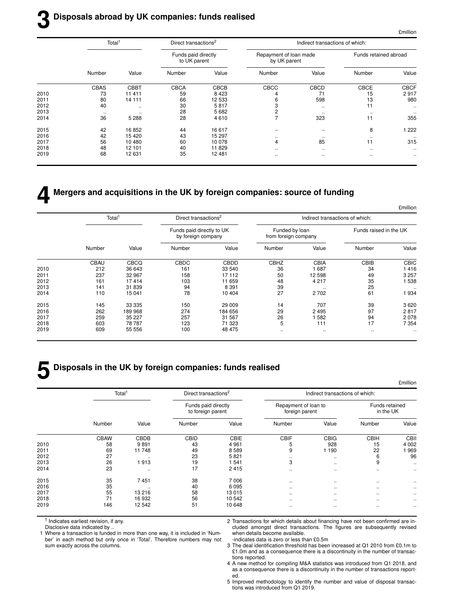# **3 Disposals abroad by UK companies: funds realised**

£million

 $\ddotsc$ 

|      | Total <sup>1</sup> |               | Direct transactions <sup>2</sup>    |             |                                        |                          | Indirect transactions of which: |             |  |  |  |  |
|------|--------------------|---------------|-------------------------------------|-------------|----------------------------------------|--------------------------|---------------------------------|-------------|--|--|--|--|
|      |                    |               | Funds paid directly<br>to UK parent |             | Repayment of loan made<br>by UK parent |                          | Funds retained abroad           |             |  |  |  |  |
|      | Number             | Value         | Number                              | Value       | Number                                 | Value                    | Number                          | Value       |  |  |  |  |
|      | <b>CBAS</b>        | <b>CBBT</b>   | <b>CBCA</b>                         | <b>CBCB</b> | CBCC                                   | <b>CBCD</b>              | CBCE                            | <b>CBCF</b> |  |  |  |  |
| 2010 | 73                 | 11 411        | 59                                  | 8 4 2 3     |                                        | 71                       | 15                              | 2917        |  |  |  |  |
| 2011 | 80                 | 14 111        | 66                                  | 12 533      | 6                                      | 598                      | 13                              | 980         |  |  |  |  |
| 2012 | 40                 | $\cdot$ .     | 30                                  | 5817        | 3                                      | $\cdots$                 | 11                              |             |  |  |  |  |
| 2013 | $\cdots$           | $\sim$ $\sim$ | 28                                  | 5 6 8 2     | 2                                      | $\cdot$ .                | $\sim$ $\sim$                   | $\ldots$    |  |  |  |  |
| 2014 | 36                 | 5 2 8 8       | 28                                  | 4610        |                                        | 323                      | 11                              | 355         |  |  |  |  |
| 2015 | 42                 | 16852         | 44                                  | 16 617      |                                        | $\overline{\phantom{0}}$ | 8                               | 1 2 2 2     |  |  |  |  |
| 2016 | 42                 | 15 4 20       | 43                                  | 15 297      | $\cdots$                               | $\cdot\cdot$             | $\cdot$ .                       |             |  |  |  |  |
| 2017 | 56                 | 10 480        | 60                                  | 10 078      | 4                                      | 85                       | 11                              | 315         |  |  |  |  |
| 2018 | 48                 | 12 101        | 40                                  | 11829       | $\ddotsc$                              | $\cdots$                 | $\cdot$ .                       |             |  |  |  |  |
| 2019 | 68                 | 12 631        | 35                                  | 12 4 8 1    | $\ddotsc$                              | $\ddotsc$                |                                 |             |  |  |  |  |

# **4 Mergers and acquisitions in the UK by foreign companies: source of funding**

|             |                        | Indirect transactions of which: |                                        |         | Direct transactions <sup>2</sup>                |         | Total <sup>1</sup> |      |
|-------------|------------------------|---------------------------------|----------------------------------------|---------|-------------------------------------------------|---------|--------------------|------|
|             | Funds raised in the UK |                                 | Funded by loan<br>from foreign company |         | Funds paid directly to UK<br>by foreign company |         |                    |      |
| Value       | Number                 | Value                           | Number                                 | Value   | Number                                          | Value   | Number             |      |
| <b>CBIC</b> | CBIB                   | <b>CBIA</b>                     | CBHZ                                   | CBDD    | <b>CBDC</b>                                     | CBCQ    | CBAU               |      |
| 416         | 34                     | 687                             | 36                                     | 33 540  | 161                                             | 36 643  | 212                | 2010 |
| 3 2 5 7     | 49                     | 12 598                          | 50                                     | 17 112  | 158                                             | 32 967  | 237                | 2011 |
| 538         | 35                     | 4 2 1 7                         | 48                                     | 11 659  | 103                                             | 17414   | 161                | 2012 |
| $\ddotsc$   | 25                     | $\cdots$                        | 39                                     | 8 3 9 1 | 94                                              | 31839   | 141                | 2013 |
| 934         | 61                     | 2 7 0 2                         | 27                                     | 10 404  | 78                                              | 15 041  | 110                | 2014 |
| 3 6 20      | 39                     | 707                             | 14                                     | 29 009  | 150                                             | 33 335  | 145                | 2015 |
| 2817        | 97                     | 2495                            | 29                                     | 184 656 | 274                                             | 189 968 | 262                | 2016 |
| 2078        | 94                     | 582                             | 26                                     | 31 567  | 257                                             | 35 227  | 259                | 2017 |
| 7 3 5 4     | 17                     | 111                             | 5                                      | 71 323  | 123                                             | 78 787  | 603                | 2018 |
| $\cdots$    | $\ddotsc$              | $\ddotsc$                       |                                        | 48 475  | 100                                             | 55 556  | 609                | 2019 |

# **5 Disposals in the UK by foreign companies: funds realised**

|      | Total <sup>1</sup> |           | Direct transactions <sup>2</sup>         |         | Indirect transactions of which:        |               |                             |           |  |  |
|------|--------------------|-----------|------------------------------------------|---------|----------------------------------------|---------------|-----------------------------|-----------|--|--|
|      |                    |           | Funds paid directly<br>to foreign parent |         | Repayment of loan to<br>foreign parent |               | Funds retained<br>in the UK |           |  |  |
|      | Number             | Value     | Number                                   | Value   | Number                                 | Value         | Number                      | Value     |  |  |
|      | <b>CBAW</b>        | CBDB      | CBID                                     | CBIE    | <b>CBIF</b>                            | <b>CBIG</b>   | <b>CBIH</b>                 | CBII      |  |  |
| 2010 | 58                 | 9891      | 43                                       | 4 9 6 1 | 5                                      | 928           | 15                          | 4 0 0 2   |  |  |
| 2011 | 69                 | 11748     | 49                                       | 8589    | 9                                      | 1 1 9 0       | 22                          | 969       |  |  |
| 2012 | 27                 |           | 23                                       | 5821    | $\cdots$                               | $\ddotsc$     | 6                           | 96        |  |  |
| 2013 | 26                 | 913       | 19                                       | 1541    | 3                                      | $\sim$ $\sim$ | 9                           | $\ddotsc$ |  |  |
| 2014 | 23                 | $\ddotsc$ | 17                                       | 2415    | $\sim$ $\sim$                          | $\ldots$      | $\ldots$                    | $\cdots$  |  |  |
| 2015 | 35                 | 7451      | 38                                       | 7 0 0 6 | $\cdots$                               | $\sim$ $\sim$ | $\cdots$                    | $\ddotsc$ |  |  |
| 2016 | 35                 | $\ddotsc$ | 40                                       | 6095    | $\ldots$                               | $\sim$ $\sim$ |                             | ٠.        |  |  |
| 2017 | 55                 | 13 216    | 58                                       | 13 015  | $\cdots$                               | $\sim$ $\sim$ | $\cdots$                    | $\ddotsc$ |  |  |
| 2018 | 71                 | 16932     | 56                                       | 10 542  | $\cdots$                               | $\sim$ $\sim$ | $\ddotsc$                   |           |  |  |
| 2019 | 146                | 12 542    | 51                                       | 10 648  | $\cdots$                               | $\cdot$       |                             | $\cdots$  |  |  |

† Indicates earliest revision, if any.

Disclosive data indicated by ..

1 Where a transaction is funded in more than one way, it is included in 'Number' in each method but only once in 'Total'. Therefore numbers may not sum exactly across the columns.

2 Transactions for which details about financing have not been confirmed are included amongst direct transactions. The figures are subsequently revised when details become available.

-indicates data is zero or less than £0.5m

3 The deal identification threshold has been increased at Q1 2010 from £0.1m to £1.0m and as a consequence there is a discontinuity in the number of transactions reported.

4 A new method for compiling M&A statistics was introduced from Q1 2018, and as a consequence there is a discontinuity in the number of transactions reported.

5 Improved methodology to identify the number and value of disposal transactions was introduced from Q1 2019.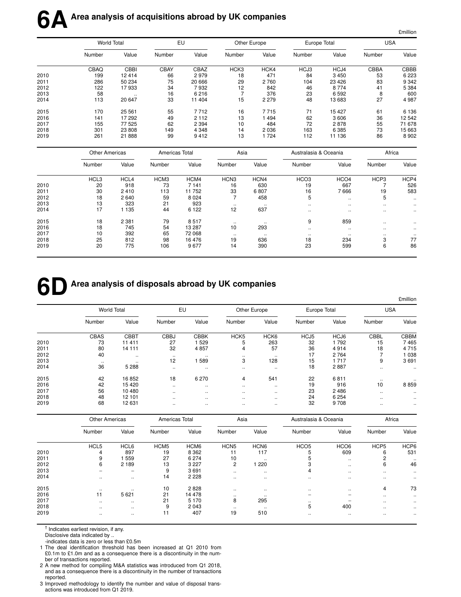|      |                       | <b>World Total</b> |                | EU      |                  | Other Europe | Europe Total          |                  | <b>USA</b> |                      |
|------|-----------------------|--------------------|----------------|---------|------------------|--------------|-----------------------|------------------|------------|----------------------|
|      | Number                | Value              | Number         | Value   | Number           | Value        | Number                | Value            | Number     | Value                |
|      | CBAQ                  | CBBI               | <b>CBAY</b>    | CBAZ    | HCK3             | HCK4         | HCJ3                  | HCJ4             | CBBA       | CBBB                 |
| 2010 | 199                   | 12414              | 66             | 2979    | 18               | 471          | 84                    | 3 4 5 0          | 53         | 6 2 2 3              |
| 2011 | 286                   | 50 234             | 75             | 20 666  | 29               | 2760         | 104                   | 23 4 26          | 83         | 9 3 4 2              |
| 2012 | 122                   | 17933              | 34             | 7932    | 12               | 842          | 46                    | 8 7 7 4          | 41         | 5 3 8 4              |
| 2013 | 58                    | $\ldots$           | 16             | 6216    | $\overline{7}$   | 376          | 23                    | 6 5 9 2          | 8          | 600                  |
| 2014 | 113                   | 20 647             | 33             | 11 404  | 15               | 2 2 7 9      | 48                    | 13 683           | 27         | 4 9 8 7              |
| 2015 | 170                   | 25 5 61            | 55             | 7712    | 16               | 7715         | 71                    | 15 4 27          | 61         | 6 1 3 6              |
| 2016 | 141                   | 17 292             | 49             | 2 1 1 2 | 13               | 1494         | 62                    | 3 6 0 6          | 36         | 12 542               |
| 2017 | 155                   | 77 525             | 62             | 2 3 9 4 | 10               | 484          | 72                    | 2878             | 55         | 71 678               |
| 2018 | 301                   | 23 808             | 149            | 4 3 4 8 | 14               | 2036         | 163                   | 6 3 8 5          | 73         | 15 663               |
| 2019 | 261                   | 21 888             | 99             | 9412    | 13               | 1724         | 112                   | 11 136           | 86         | 8 9 0 2              |
|      | <b>Other Americas</b> |                    | Americas Total |         | Asia             |              | Australasia & Oceania |                  | Africa     |                      |
|      | Number                | Value              | Number         | Value   | Number           | Value        | Number                | Value            | Number     | Value                |
|      | HCL3                  | HCL4               | HCM3           | HCM4    | HCN <sub>3</sub> | HCN4         | HCO <sub>3</sub>      | HCO <sub>4</sub> | HCP3       | HCP4                 |
| 2010 | 20                    | 918                | 73             | 7 1 4 1 | 16               | 630          | 19                    | 667              | 7          | 526                  |
| 2011 | 30                    | 2410               | 113            | 11 752  | 33               | 6807         | 16                    | 7666             | 19         | 583                  |
| 2012 | 18                    | 2 6 4 0            | 59             | 8 0 2 4 | $\overline{7}$   | 458          | 5                     | $\ddotsc$        | 5          |                      |
| 2013 | 13                    | 323                | 21             | 923     | $\ddotsc$        |              | $\ddotsc$             | $\ddotsc$        | $\ddotsc$  |                      |
| 2014 | 17                    | 1 1 3 5            | 44             | 6 1 2 2 | 12               | 637          | $\ddotsc$             | $\ddotsc$        | $\ddotsc$  | $\ddotsc$            |
| 2015 | 18                    | 2 3 8 1            | 79             | 8517    | $\cdot\cdot$     |              | 9                     | 859              | $\cdot$ .  |                      |
| 2016 | 18                    | 745                | 54             | 13 287  | 10               | 293          | $\ddotsc$             | $\ddotsc$        | $\ddotsc$  | $\ddot{\phantom{a}}$ |
| 2017 | 10                    | 392                | 65             | 72 068  | $\ldots$         | $\ldots$     | $\cdots$              | $\cdot\cdot$     | $\cdot$ .  |                      |
| 2018 | 25                    | 812                | 98             | 16 476  | 19               | 636          | 18                    | 234              | 3          | 77                   |
| 2019 | 20                    | 775                | 106            | 9677    | 14               | 390          | 23                    | 599              | 6          | 86                   |

£million

# **6DArea analysis of disposals abroad by UK companies**

|      |                    |             |             |               |                  |                  |              |         |            | £million      |
|------|--------------------|-------------|-------------|---------------|------------------|------------------|--------------|---------|------------|---------------|
|      | <b>World Total</b> |             | EU          |               | Other Europe     |                  | Europe Total |         | <b>USA</b> |               |
|      | Number             | Value       | Number      | Value         | Number           | Value            | Number       | Value   | Number     | Value         |
|      | CBAS               | <b>CBBT</b> | <b>CBBJ</b> | <b>CBBK</b>   | HCK <sub>5</sub> | HCK <sub>6</sub> | HCJ5         | HCJ6    | CBBL       | <b>CBBM</b>   |
| 2010 | 73                 | 11 411      | 27          | 529           | 5                | 263              | 32           | 1792    | 15         | 7465          |
| 2011 | 80                 | 14 11 1     | 32          | 4857          | 4                | 57               | 36           | 4914    | 18         | 4715          |
| 2012 | 40                 | $\cdot$ .   |             | $\cdot$       | $\cdot$ .        | $\cdot$ .        | 17           | 2 7 6 4 |            | 038           |
| 2013 | $\cdot$ .          |             | 12          | 589           | 3                | 128              | 15           | 1 7 1 7 | 9          | 3691          |
| 2014 | 36                 | 5 2 8 8     | $\ddotsc$   | $\sim$ $\sim$ | $\sim$ $\sim$    | $\ddotsc$        | 18           | 2887    | $\ddotsc$  | $\sim$ $\sim$ |
| 2015 | 42                 | 16852       | 18          | 6 2 7 0       | 4                | 541              | 22           | 6811    | $\cdot$ .  |               |
| 2016 | 42                 | 15420       | $\ddotsc$   | $\sim$ $\sim$ | $\cdot$ .        | $\cdot$ .        | 19           | 916     | 10         | 8859          |
| 2017 | 56                 | 10480       | $\ddotsc$   | $\sim$ $\sim$ | $\cdot$ .        | $\ddotsc$        | 23           | 2 4 8 6 | $\cdot$ .  |               |
| 2018 | 48                 | 12 101      |             | $\cdot$       | $\cdot$ .        | $\cdot$ .        | 24           | 6 2 5 4 | $\cdot$ .  | $\cdots$      |
| 2019 | 68                 | 12 631      | $\ddotsc$   | $\sim$ $\sim$ | $\sim$ $\sim$    |                  | 32           | 9 7 0 8 | $\cdot$ .  |               |

|      |                  | <b>Other Americas</b>    |                  | Americas Total   |                  | Asia             |                  | Australasia & Oceania    |                  | Africa        |  |
|------|------------------|--------------------------|------------------|------------------|------------------|------------------|------------------|--------------------------|------------------|---------------|--|
|      | Number           | Value                    | Number           | Value            | Number           | Value            | Number           | Value                    | Number           | Value         |  |
|      | HCL <sub>5</sub> | HCL6                     | HCM <sub>5</sub> | HCM <sub>6</sub> | HCN <sub>5</sub> | HCN <sub>6</sub> | HCO <sub>5</sub> | HCO <sub>6</sub>         | HCP <sub>5</sub> | HCP6          |  |
| 2010 | 4                | 897                      | 19               | 8 3 6 2          | 11               | 117              | 5                | 609                      | 6                | 531           |  |
| 2011 | 9                | 559                      | 27               | 6 2 7 4          | 10               | $\cdot$ .        |                  | $\sim$ $\sim$            | 2                | $\ddotsc$     |  |
| 2012 | 6                | 2 1 8 9                  | 13               | 3 2 2 7          | 2                | 220              | 3                | $\cdot$                  | 6                | 46            |  |
| 2013 |                  | $\overline{\phantom{0}}$ | 9                | 3691             | $\ddotsc$        | $\ddotsc$        | 4                | $\sim$ $\sim$            | $\sim$ $\sim$    | $\sim$ $\sim$ |  |
| 2014 | $\cdots$         | $\cdot$ .                | 14               | 2 2 2 8          | $\cdot$ .        |                  | $\cdot$ .        | $\cdot$                  | $\cdots$         | $\cdot$ .     |  |
| 2015 | $\cdot$ .        | $\cdot$ .                | 10               | 2828             | $\cdot$          |                  | $\cdot$ .        | $\cdot$                  | 4                | 73            |  |
| 2016 | 11               | 5 6 21                   | 21               | 14 478           | $\cdots$         | $\cdot$ .        | -                | $\overline{\phantom{0}}$ | $\cdot$ .        | $\cdot$       |  |
| 2017 | $\cdot$ .        | $\cdot$ .                | 21               | 5 1 7 0          | 8                | 295              |                  |                          | $\cdot$ .        | $\cdot$       |  |
| 2018 | $\cdot$ .        | $\cdots$                 | 9                | 2 0 4 3          | $\cdot$ .        |                  | 5                | 400                      | $\cdot$ .        | $\cdot$       |  |
| 2019 | $\cdot$ .        | $\cdot$ .                | 11               | 407              | 19               | 510              | $\cdot$ .        | $\cdot$                  | $\cdot$ .        | $\cdot$ .     |  |

† Indicates earliest revision, if any.

Disclosive data indicated by ..

-indicates data is zero or less than £0.5m

1 The deal identification threshold has been increased at Q1 2010 from £0.1m to £1.0m and as a consequence there is a discontinuity in the number of transactions reported.

2 A new method for compiling M&A statistics was introduced from Q1 2018, and as a consequence there is a discontinuity in the number of transactions reported.

3 Improved methodology to identify the number and value of disposal transactions was introduced from Q1 2019.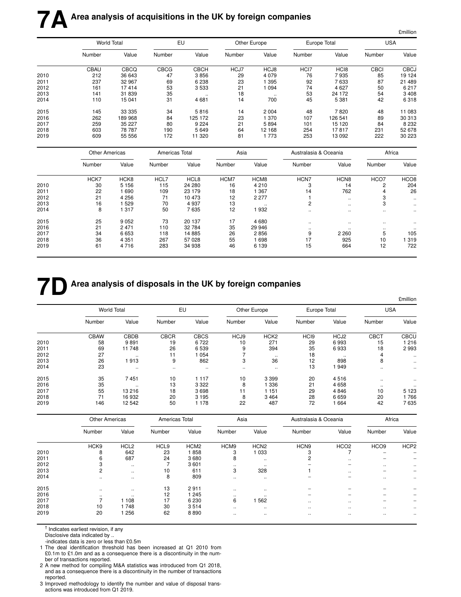|      |                       |                    |                |             |        |              |                       |                      |             | £million             |
|------|-----------------------|--------------------|----------------|-------------|--------|--------------|-----------------------|----------------------|-------------|----------------------|
|      |                       | <b>World Total</b> |                | EU          |        | Other Europe |                       | Europe Total         | <b>USA</b>  |                      |
|      | Number                | Value              | Number         | Value       | Number | Value        | Number                | Value                | Number      | Value                |
|      | CBAU                  | CBCQ               | <b>CBCG</b>    | <b>CBCH</b> | HCJ7   | HCJ8         | HCI7                  | HC <sub>18</sub>     | <b>CBCI</b> | <b>CBCJ</b>          |
| 2010 | 212                   | 36 643             | 47             | 3856        | 29     | 4 0 7 9      | 76                    | 7935                 | 85          | 19 124               |
| 2011 | 237                   | 32 967             | 69             | 6 2 3 8     | 23     | 1 3 9 5      | 92                    | 7633                 | 87          | 21 489               |
| 2012 | 161                   | 17414              | 53             | 3 5 3 3     | 21     | 1 0 9 4      | 74                    | 4627                 | 50          | 6 217                |
| 2013 | 141                   | 31 839             | 35             | $\ddotsc$   | 18     | $\ldots$     | 53                    | 24 172               | 54          | 3 4 0 8              |
| 2014 | 110                   | 15 041             | 31             | 4 6 8 1     | 14     | 700          | 45                    | 5 3 8 1              | 42          | 6318                 |
| 2015 | 145                   | 33 335             | 34             | 5816        | 14     | 2 0 0 4      | 48                    | 7820                 | 48          | 11 083               |
| 2016 | 262                   | 189 968            | 84             | 125 172     | 23     | 1 370        | 107                   | 126 541              | 89          | 30 313               |
| 2017 | 259                   | 35 227             | 80             | 9 2 2 4     | 21     | 5894         | 101                   | 15 1 20              | 84          | 8 2 3 2              |
| 2018 | 603                   | 78 787             | 190            | 5 6 4 9     | 64     | 12 168       | 254                   | 17817                | 231         | 52 678               |
| 2019 | 609                   | 55 556             | 172            | 11 320      | 81     | 1 7 7 3      | 253                   | 13 0 9 2             | 222         | 30 223               |
|      | <b>Other Americas</b> |                    | Americas Total |             | Asia   |              | Australasia & Oceania |                      | Africa      |                      |
|      | Number                | Value              | Number         | Value       | Number | Value        | Number                | Value                | Number      | Value                |
|      | HCK7                  | HCK8               | HCL7           | HCL8        | HCM7   | HCM8         | HCN7                  | HCN <sub>8</sub>     | HCO7        | HCO <sub>8</sub>     |
| 2010 | 30                    | 5 1 5 6            | 115            | 24 280      | 16     | 4 2 1 0      | 3                     | 14                   | 2           | 204                  |
| 2011 | 22                    | 1 6 9 0            | 109            | 23 179      | 18     | 1 3 6 7      | 14                    | 762                  | 4           | 26                   |
| 2012 | 21                    | 4 2 5 6            | 71             | 10 473      | 12     | 2 2 7 7      | $\mathbf{1}$          | $\ddot{\phantom{0}}$ | 3           | $\ddot{\phantom{0}}$ |
| 2013 | 16                    | 1 5 2 9            | 70             | 4937        | 13     | $\ddotsc$    | $\overline{c}$        | $\ddotsc$            | 3           | $\ddotsc$            |
| 2014 | 8                     | 1 3 1 7            | 50             | 7635        | 12     | 1932         |                       | $\ddot{\phantom{0}}$ | $\ldots$    | $\ddotsc$            |
| 2015 | 25                    | 9 0 5 2            | 73             | 20 137      | 17     | 4680         | $\ddotsc$             | $\ddotsc$            | $\ddotsc$   | $\ddot{\phantom{0}}$ |
| 2016 | 21                    | 2 4 7 1            | 110            | 32 784      | 35     | 29 946       | $\cdot$ .             |                      | $\cdot$ .   |                      |
| 2017 | 34                    | 6 6 5 3            | 118            | 14 8 85     | 26     | 2856         | 9                     | 2 2 6 0              | 5           | 105                  |
| 2018 | 36                    | 4 3 5 1            | 267            | 57 0 28     | 55     | 1 6 9 8      | 17                    | 925                  | 10          | 1319                 |
| 2019 | 61                    | 4716               | 283            | 34 938      | 46     | 6 1 3 9      | 15                    | 664                  | 12          | 722                  |

# **7D** Area analysis of disposals in the UK by foreign companies

|      |                    |           |             |             |          |                  |                  |              |             | £million    |
|------|--------------------|-----------|-------------|-------------|----------|------------------|------------------|--------------|-------------|-------------|
|      | <b>World Total</b> |           | EU          |             |          | Other Europe     |                  | Europe Total | <b>USA</b>  |             |
|      | Number             | Value     | Number      | Value       | Number   | Value            | Number           | Value        | Number      | Value       |
|      | <b>CBAW</b>        | CBDB      | <b>CBCR</b> | <b>CBCS</b> | HCJ9     | HCK <sub>2</sub> | HC <sub>I9</sub> | HCJ2         | <b>CBCT</b> | <b>CBCU</b> |
| 2010 | 58                 | 9891      | 19          | 6722        | 10       | 271              | 29               | 6993         | 15          | 1 216       |
| 2011 | 69                 | 11748     | 26          | 6 5 3 9     | 9        | 394              | 35               | 6933         | 18          | 2993        |
| 2012 | 27                 | $\cdot$ . | 11          | 054         |          |                  | 18               | $\sim$       | 4           | $\cdot$ .   |
| 2013 | 26                 | 1913      | 9           | 862         | 3        | 36               | 12               | 898          | 8           | $\ddotsc$   |
| 2014 | 23                 | $\cdot$ . |             | $\cdots$    | $\cdots$ |                  | 13               | 949          | $\cdot$ .   |             |
| 2015 | 35                 | 7451      | 10          | 1117        | 10       | 3 3 9 9          | 20               | 4516         | $\cdot$ .   |             |
| 2016 | 35                 |           | 13          | 3 3 2 2     | 8        | 1 336            | 21               | 4658         | $\cdot$ .   |             |
| 2017 | 55                 | 13 216    | 18          | 3698        | 11       | 1 1 5 1          | 29               | 4846         | 10          | 5 1 2 3     |
| 2018 | 71                 | 16932     | 20          | 3 1 9 5     | 8        | 3464             | 28               | 6659         | 20          | 766         |
| 2019 | 146                | 12542     | 50          | 178         | 22       | 487              | 72               | 664          | 42          | 7635        |

|      |           | <b>Other Americas</b> |                  | Americas Total   |           | Asia             |                  | Australasia & Oceania    |                          | Africa           |  |
|------|-----------|-----------------------|------------------|------------------|-----------|------------------|------------------|--------------------------|--------------------------|------------------|--|
|      | Number    | Value                 | Number           | Value            | Number    | Value            | Number           | Value                    | Number                   | Value            |  |
|      | HCK9      | HCL <sub>2</sub>      | HCL <sub>9</sub> | HCM <sub>2</sub> | HCM9      | HCN <sub>2</sub> | HCN <sub>9</sub> | HCO <sub>2</sub>         | HCO <sub>9</sub>         | HCP <sub>2</sub> |  |
| 2010 | 8         | 642                   | 23               | 1858             | 3         | 1 0 3 3          | 3                |                          | $\overline{\phantom{a}}$ |                  |  |
| 2011 | 6         | 687                   | 24               | 3680             | 8         | $\cdot$ .        | 2                | $\sim$ $\sim$            |                          |                  |  |
| 2012 | 3         | $\cdot$ .             |                  | 3601             | $\cdot$ . | $\cdot$ .        |                  | $\overline{\phantom{a}}$ | $\ddotsc$                | $\cdot$ .        |  |
| 2013 | 2         | $\cdot$ .             | 10               | 611              | 3         | 328              |                  | $\sim$ $\sim$            |                          |                  |  |
| 2014 | $\cdot$ . |                       | 8                | 809              | $\cdot$ . | $\cdot$ .        |                  |                          | $\cdot$ .                | $\cdot$          |  |
| 2015 | $\cdots$  |                       | 13               | 2911             | $\cdot$ . | $\cdot$ .        |                  |                          |                          |                  |  |
| 2016 |           |                       | 12               | 1 2 4 5          | $\cdot$ . | $\cdots$         |                  |                          |                          |                  |  |
| 2017 |           | 108                   | 17               | 6 2 3 0          | 6         | 562              | $\ddotsc$        | $\sim$ $\sim$            |                          |                  |  |
| 2018 | 10        | 748                   | 30               | 3514             | $\ddotsc$ | $\sim$ $\sim$    |                  | $\sim$ $\sim$            | $\cdot$ .                | $\cdot$ .        |  |
| 2019 | 20        | 256                   | 62               | 8890             | $\cdot$ . | $\cdot$ .        |                  | $\cdot$ .                | $\cdot$ .                | $\cdot$ .        |  |

† Indicates earliest revision, if any

Disclosive data indicated by ..

-indicates data is zero or less than £0.5m

1 The deal identification threshold has been increased at Q1 2010 from £0.1m to £1.0m and as a consequence there is a discontinuity in the number of transactions reported.

2 A new method for compiling M&A statistics was introduced from Q1 2018, and as a consequence there is a discontinuity in the number of transactions reported.

3 Improved methodology to identify the number and value of disposal transactions was introduced from Q1 2019.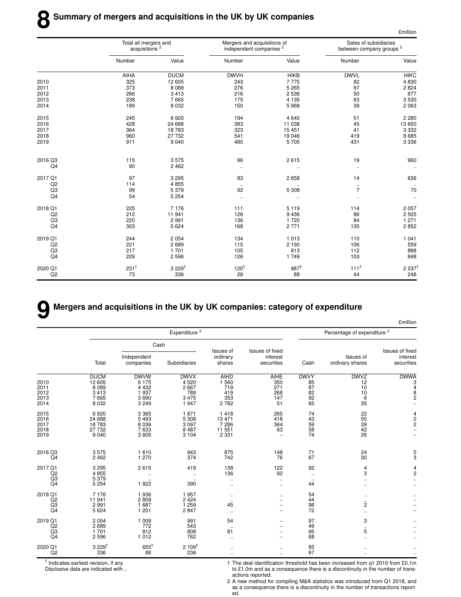|         | Total all mergers and<br>acquisitions <sup>2</sup> |                  | Mergers and acquisitions of<br>independent companies <sup>2</sup> |                 | Sales of subsidiaries<br>between company groups <sup>2</sup> |                      |
|---------|----------------------------------------------------|------------------|-------------------------------------------------------------------|-----------------|--------------------------------------------------------------|----------------------|
|         | Number                                             | Value            | Number                                                            | Value           | Number                                                       | Value                |
|         | AIHA                                               | <b>DUCM</b>      | <b>DWVH</b>                                                       | <b>HIKB</b>     | <b>DWVL</b>                                                  | <b>HIKC</b>          |
| 2010    | 325                                                | 12 605           | 243                                                               | 7775            | 82                                                           | 4 8 3 0              |
| 2011    | 373                                                | 8 0 8 9          | 276                                                               | 5 2 6 5         | 97                                                           | 2 8 2 4              |
| 2012    | 266                                                | 3413             | 216                                                               | 2 5 3 6         | 50                                                           | 877                  |
| 2013    | 238                                                | 7665             | 175                                                               | 4 1 3 5         | 63                                                           | 3530                 |
| 2014    | 189                                                | 8 0 3 2          | 150                                                               | 5968            | 39                                                           | 2 0 6 3              |
| 2015    | 245                                                | 6920             | 194                                                               | 4 6 4 0         | 51                                                           | 2 2 8 0              |
| 2016    | 428                                                | 24 688           | 383                                                               | 11 038          | 45                                                           | 13 650               |
| 2017    | 364                                                | 18783            | 323                                                               | 15 451          | 41                                                           | 3 3 3 2              |
| 2018    | 960                                                | 27 732           | 541                                                               | 19 046          | 419                                                          | 8685                 |
| 2019    | 911                                                | 9040             | 480                                                               | 5705            | 431                                                          | 3 3 3 6              |
| 2016 Q3 | 115                                                | 3575             | 96                                                                | 2615            | 19                                                           | 960                  |
| Q4      | 90                                                 | 2 4 6 2          | $\ldots$                                                          | $\ddotsc$       | $\ddot{\phantom{1}}$                                         | $\ddot{\phantom{a}}$ |
| 2017 Q1 | 97                                                 | 3 2 9 5          | 83                                                                | 2 6 5 8         | 14                                                           | 636                  |
| Q2      | 114                                                | 4855             | $\ddotsc$                                                         |                 | $\ldots$                                                     |                      |
| Q3      | 99                                                 | 5379             | 92                                                                | 5 3 0 8         | $\overline{7}$                                               | 70                   |
| Q4      | 54                                                 | 5 2 5 4          | $\ddotsc$                                                         | $\cdot$ .       | $\ldots$                                                     | $\ddot{\phantom{a}}$ |
| 2018 Q1 | 225                                                | 7 1 7 6          | 111                                                               | 5 1 1 9         | 114                                                          | 2 0 5 7              |
| Q2      | 212                                                | 11 941           | 126                                                               | 9 4 3 6         | 86                                                           | 2 5 0 5              |
| Q3      | 220                                                | 2991             | 136                                                               | 1720            | 84                                                           | 1 2 7 1              |
| Q4      | 303                                                | 5 6 2 4          | 168                                                               | 2 7 7 1         | 135                                                          | 2852                 |
| 2019 Q1 | 244                                                | 2 0 5 4          | 134                                                               | 1 0 1 3         | 110                                                          | 1 0 4 1              |
| Q2      | 221                                                | 2689             | 115                                                               | 2 1 3 0         | 106                                                          | 559                  |
| Q3      | 217                                                | 1701             | 105                                                               | 813             | 112                                                          | 888                  |
| Q4      | 229                                                | 2596             | 126                                                               | 1749            | 103                                                          | 848                  |
| 2020 Q1 | $231^{\dagger}$                                    | $3229^{\dagger}$ | 120 <sup>†</sup>                                                  | $987^{\dagger}$ | $111^{\dagger}$                                              | $2237$ <sup>t</sup>  |
| Q2      | 73                                                 | 336              | 29                                                                | 88              | 44                                                           | 248                  |

# **9 Mergers and acquisitions in the UK by UK companies: category of expenditure**

|                                                   |                                                                |                                                            |                                                       |                                                 |                                                     |                                           |                                                       | <b>£million</b>                                           |  |
|---------------------------------------------------|----------------------------------------------------------------|------------------------------------------------------------|-------------------------------------------------------|-------------------------------------------------|-----------------------------------------------------|-------------------------------------------|-------------------------------------------------------|-----------------------------------------------------------|--|
|                                                   |                                                                | Expenditure <sup>2</sup>                                   |                                                       |                                                 |                                                     |                                           | Percentage of expenditure <sup>2</sup>                |                                                           |  |
|                                                   |                                                                | Cash                                                       |                                                       |                                                 |                                                     |                                           |                                                       |                                                           |  |
|                                                   | Total                                                          | Independent<br>companies                                   | Subsidiaries                                          | Issues of<br>ordinary<br>shares                 | Issues of fixed<br>interest<br>securities           | Cash                                      | Issues of<br>ordinary shares                          | Issues of fixed<br>interest<br>securities                 |  |
| 2010<br>2011<br>2012<br>2013<br>2014              | <b>DUCM</b><br>12 605<br>8 0 8 9<br>3 4 1 3<br>7665<br>8 0 3 2 | <b>DWVW</b><br>6 175<br>4 4 3 2<br>1937<br>3690<br>3 2 4 9 | <b>DWVX</b><br>4520<br>2667<br>789<br>3 4 7 5<br>1947 | AIHD<br>1 560<br>719<br>419<br>353<br>2782      | <b>AIHE</b><br>350<br>271<br>268<br>147<br>51       | <b>DWVY</b><br>85<br>87<br>82<br>92<br>65 | <b>DWVZ</b><br>12<br>10<br>10<br>6<br>35              | <b>DWWA</b><br>3<br>$\overline{4}$<br>8<br>$\overline{c}$ |  |
| 2015<br>2016<br>2017<br>2018<br>2019              | 6920<br>24 688<br>18 783<br>27 732<br>9 0 4 0                  | 3 3 6 5<br>5 4 9 3<br>8 0 3 6<br>7633<br>3 6 0 5           | 1871<br>5 3 0 8<br>3 0 9 7<br>8 4 8 7<br>3 1 0 4      | 1418<br>13 471<br>7 2 8 6<br>11 551<br>2 3 3 1  | 265<br>418<br>364<br>63<br>$\overline{\phantom{0}}$ | 74<br>43<br>59<br>58<br>74                | 22<br>55<br>39<br>$^{42}_{26}$                        | $\frac{4}{2}$                                             |  |
| 2016 Q3<br>Q4                                     | 3575<br>2 4 6 2                                                | 1610<br>1 270                                              | 943<br>374                                            | 875<br>742                                      | 148<br>76                                           | $\begin{array}{c} 71 \\ 67 \end{array}$   | $\frac{24}{30}$                                       | $\frac{5}{3}$                                             |  |
| 2017 Q1<br>Q <sub>2</sub><br>Q3<br>Q <sub>4</sub> | 3 2 9 5<br>4855<br>5 3 7 9<br>5 2 5 4                          | 2615<br>$\ddotsc$<br>$\cdot$ .<br>1922                     | 419<br><br>$\ddotsc$<br>390                           | 138<br>136<br>$\ddotsc$<br>$\ddot{\phantom{a}}$ | 122<br>92<br>$\ldots$<br>$\ldots$                   | 92<br>$\ddotsc$<br>$\ddotsc$<br>44        | 4<br>3<br>$\ddotsc$<br>$\ddotsc$                      | $\frac{4}{2}$<br>$\ldots$                                 |  |
| 2018 Q1<br>Q2<br>Q3<br>Q <sub>4</sub>             | 7 1 7 6<br>11 941<br>2 9 9 1<br>5 6 2 4                        | 1936<br>2809<br>1 687<br>1 2 0 1                           | 1957<br>2 4 2 4<br>1 2 5 9<br>2847                    | $\ddotsc$<br>$\ddotsc$<br>45<br>$\cdot$ .       | $\ddotsc$<br>-<br>$\overline{\phantom{0}}$          | 54<br>44<br>98<br>72                      | $\ddotsc$<br>$\ddotsc$<br>$\overline{c}$<br>$\ddotsc$ |                                                           |  |
| 2019 Q1<br>Q2<br>Q3<br>Q4                         | 2 0 5 4<br>2689<br>1701<br>2 5 9 6                             | 1 0 0 9<br>772<br>812<br>1 0 1 2                           | 991<br>543<br>808<br>762                              | 54<br>$\ddotsc$<br>81<br>$\ddotsc$              | $\overline{\phantom{0}}$<br>-                       | 97<br>49<br>95<br>68                      | 3<br>$\ddotsc$<br>5<br>$\ddotsc$                      |                                                           |  |
| 2020 Q1<br>Q2                                     | $3229^{\dagger}$<br>336                                        | $\begin{smallmatrix} 655^{\dagger}\ 88 \end{smallmatrix}$  | $2109^{\dagger}$<br>236                               | <br>$\ddot{\phantom{a}}$                        | <br>$\ldots$                                        | 85<br>97                                  | $\ddotsc$                                             | $\ddot{\phantom{a}}$                                      |  |

† Indicates earliest revision, if any

Disclosive data are indicated with ..

1 The deal identification threshold has been increased from q1 2010 from £0.1m to £1.0m and as a consequence there is a discontinuity in the number of transactions reported.

£million

2 A new method for compiling M&A statistics was introduced from Q1 2018, and as a consequence there is a discontinuity in the number of transactions report-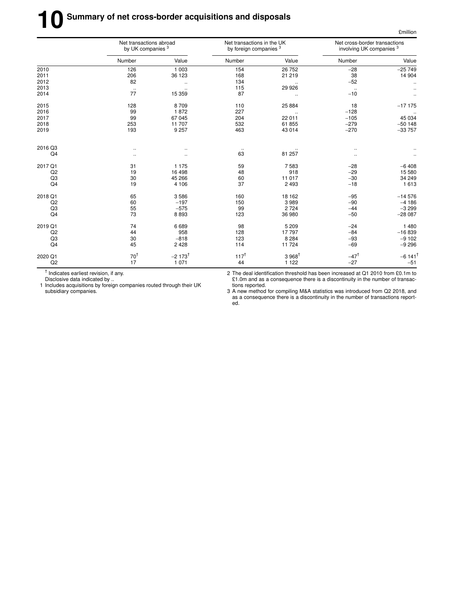# **10** Summary of net cross-border acquisitions and disposals

|         | Net transactions abroad<br>by UK companies <sup>3</sup> |                       | Net transactions in the UK<br>by foreign companies <sup>3</sup> |                   | Net cross-border transactions<br>involving UK companies <sup>3</sup> |                       |
|---------|---------------------------------------------------------|-----------------------|-----------------------------------------------------------------|-------------------|----------------------------------------------------------------------|-----------------------|
|         | Number                                                  | Value                 | Number                                                          | Value             | Number                                                               | Value                 |
| 2010    | 126                                                     | 1 0 0 3               | 154                                                             | 26 752            | $-28$                                                                | $-25749$              |
| 2011    | 206                                                     | 36 123                | 168                                                             | 21 219            | 38                                                                   | 14 904                |
| 2012    | 82                                                      | $\ddot{\phantom{1}}$  | 134                                                             |                   | $-52$                                                                |                       |
| 2013    | $\ddotsc$                                               | $\ddotsc$             | 115                                                             | 29 926            | $\ddot{\phantom{a}}$                                                 |                       |
| 2014    | 77                                                      | 15 359                | 87                                                              | $\cdot$ .         | $-10$                                                                |                       |
| 2015    | 128                                                     | 8709                  | 110                                                             | 25 884            | 18                                                                   | $-17175$              |
| 2016    | 99                                                      | 1872                  | 227                                                             | $\ddotsc$         | $-128$                                                               |                       |
| 2017    | 99                                                      | 67 045                | 204                                                             | 22 011            | $-105$                                                               | 45 034                |
| 2018    | 253                                                     | 11 707                | 532                                                             | 61 855            | $-279$                                                               | $-50148$              |
| 2019    | 193                                                     | 9 2 5 7               | 463                                                             | 43 014            | $-270$                                                               | $-33757$              |
| 2016 Q3 |                                                         |                       |                                                                 |                   |                                                                      |                       |
| Q4      |                                                         |                       | $\cdot$ .<br>63                                                 | 81 257            | $\ddot{\phantom{a}}$<br>$\ddotsc$                                    |                       |
| 2017 Q1 | 31                                                      | 1 1 7 5               | 59                                                              | 7583              | $-28$                                                                | $-6408$               |
| Q2      | 19                                                      | 16 4 98               | 48                                                              | 918               | $-29$                                                                | 15 580                |
| Q3      | 30                                                      | 45 266                | 60                                                              | 11 017            | $-30$                                                                | 34 249                |
| Q4      | 19                                                      | 4 1 0 6               | 37                                                              | 2 4 9 3           | $-18$                                                                | 1 6 1 3               |
| 2018 Q1 | 65                                                      | 3586                  | 160                                                             | 18 162            | $-95$                                                                | $-14576$              |
| Q2      | 60                                                      | $-197$                | 150                                                             | 3989              | $-90$                                                                | $-4186$               |
| Q3      | 55                                                      | $-575$                | 99                                                              | 2 7 2 4           | $-44$                                                                | $-3299$               |
| Q4      | 73                                                      | 8893                  | 123                                                             | 36 980            | $-50$                                                                | $-28087$              |
| 2019 Q1 | 74                                                      | 6689                  | 98                                                              | 5 2 0 9           | $-24$                                                                | 1 4 8 0               |
| Q2      | 44                                                      | 958                   | 128                                                             | 17797             | $-84$                                                                | $-16839$              |
| Q3      | 30                                                      | $-818$                | 123                                                             | 8 2 8 4           | $-93$                                                                | $-9102$               |
| Q4      | 45                                                      | 2 4 2 8               | 114                                                             | 11 724            | $-69$                                                                | $-9296$               |
| 2020 Q1 | $70^{\dagger}$                                          | $-2$ 173 <sup>†</sup> | $117^{\dagger}$                                                 | $3.968^{\dagger}$ | $-47^{\dagger}$                                                      | $-6$ 141 <sup>T</sup> |
| Q2      | 17                                                      | 1 0 7 1               | 44                                                              | 1 1 2 2           | $-27$                                                                | $-51$                 |

† Indicates earliest revision, if any.

Disclosive data indicated by ..

1 Includes acquisitions by foreign companies routed through their UK subsidiary companies.

2 The deal identification threshold has been increased at Q1 2010 from £0.1m to £1.0m and as a consequence there is a discontinuity in the number of transactions reported.

3 A new method for compiling M&A statistics was introduced from Q2 2018, and as a consequence there is a discontinuity in the number of transactions reported.